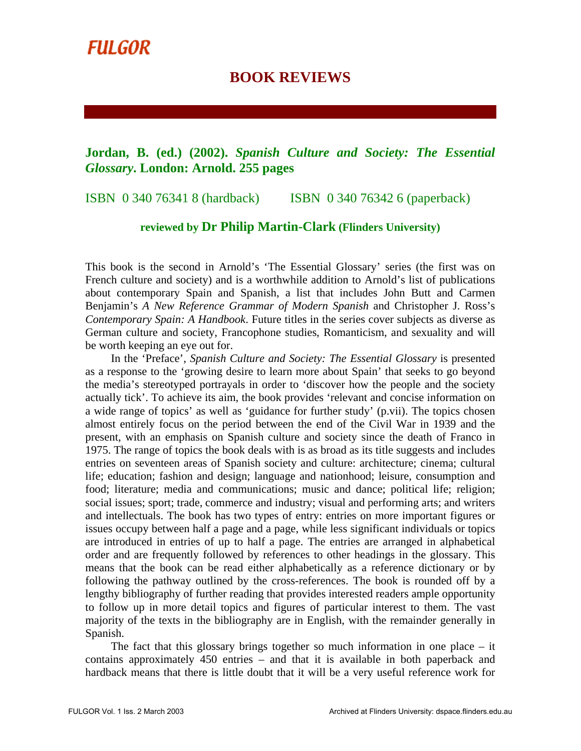## **BOOK REVIEWS**

## **Jordan, B. (ed.) (2002).** *Spanish Culture and Society: The Essential Glossary***. London: Arnold. 255 pages**

ISBN 0 340 76341 8 (hardback) ISBN 0 340 76342 6 (paperback)

## **reviewed by Dr Philip Martin-Clark (Flinders University)**

This book is the second in Arnold's 'The Essential Glossary' series (the first was on French culture and society) and is a worthwhile addition to Arnold's list of publications about contemporary Spain and Spanish, a list that includes John Butt and Carmen Benjamin's *A New Reference Grammar of Modern Spanish* and Christopher J. Ross's *Contemporary Spain: A Handbook*. Future titles in the series cover subjects as diverse as German culture and society, Francophone studies, Romanticism, and sexuality and will be worth keeping an eye out for.

In the 'Preface', *Spanish Culture and Society: The Essential Glossary* is presented as a response to the 'growing desire to learn more about Spain' that seeks to go beyond the media's stereotyped portrayals in order to 'discover how the people and the society actually tick'. To achieve its aim, the book provides 'relevant and concise information on a wide range of topics' as well as 'guidance for further study' (p.vii). The topics chosen almost entirely focus on the period between the end of the Civil War in 1939 and the present, with an emphasis on Spanish culture and society since the death of Franco in 1975. The range of topics the book deals with is as broad as its title suggests and includes entries on seventeen areas of Spanish society and culture: architecture; cinema; cultural life; education; fashion and design; language and nationhood; leisure, consumption and food; literature; media and communications; music and dance; political life; religion; social issues; sport; trade, commerce and industry; visual and performing arts; and writers and intellectuals. The book has two types of entry: entries on more important figures or issues occupy between half a page and a page, while less significant individuals or topics are introduced in entries of up to half a page. The entries are arranged in alphabetical order and are frequently followed by references to other headings in the glossary. This means that the book can be read either alphabetically as a reference dictionary or by following the pathway outlined by the cross-references. The book is rounded off by a lengthy bibliography of further reading that provides interested readers ample opportunity to follow up in more detail topics and figures of particular interest to them. The vast majority of the texts in the bibliography are in English, with the remainder generally in Spanish.

The fact that this glossary brings together so much information in one place  $-$  it contains approximately 450 entries – and that it is available in both paperback and hardback means that there is little doubt that it will be a very useful reference work for